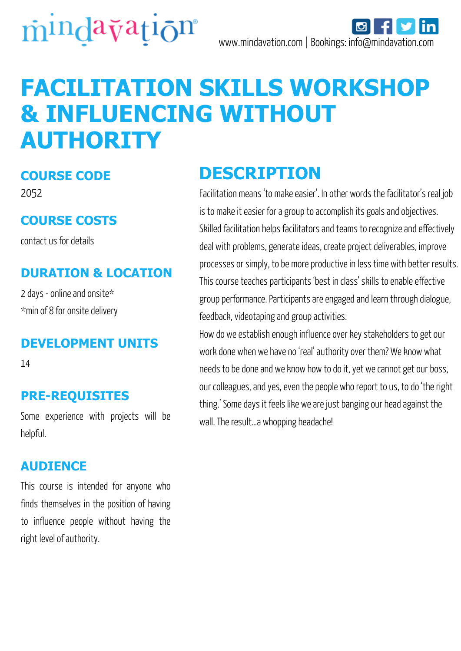

# **FACILITATION SKILLS WORKSHOP & INFLUENCING WITHOUT AUTHORITY**

### **COURSE CODE**

2052

### **COURSE COSTS**

contact us for details

### **DURATION & LOCATION**

2 days - online and onsite\* \*min of 8 for onsite delivery

### **DEVELOPMENT UNITS**

14

### **PRE-REQUISITES**

Some experience with projects will be helpful.

### **AUDIENCE**

This course is intended for anyone who finds themselves in the position of having to influence people without having the right level of authority.

### **DESCRIPTION**

Facilitation means 'to make easier'. In other words the facilitator's real job is to make it easier for a group to accomplish its goals and objectives. Skilled facilitation helps facilitators and teams to recognize and effectively deal with problems, generate ideas, create project deliverables, improve processes or simply, to be more productive in less time with better results. This course teaches participants 'best in class' skills to enable effective group performance. Participants are engaged and learn through dialogue, feedback, videotaping and group activities.

How do we establish enough influence over key stakeholders to get our work done when we have no 'real' authority over them? We know what needs to be done and we know how to do it, yet we cannot get our boss, our colleagues, and yes, even the people who report to us, to do 'the right thing.' Some days it feels like we are just banging our head against the wall. The result...a whopping headache!